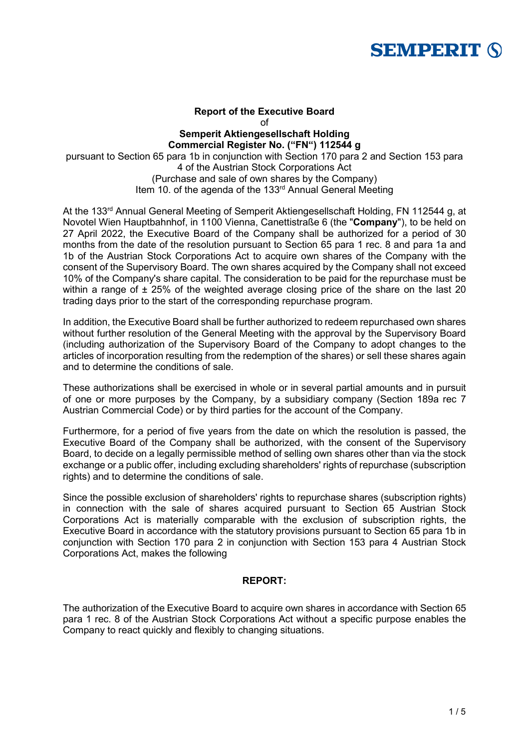

# **Report of the Executive Board** of **Semperit Aktiengesellschaft Holding Commercial Register No. ("FN") 112544 g**

pursuant to Section 65 para 1b in conjunction with Section 170 para 2 and Section 153 para 4 of the Austrian Stock Corporations Act (Purchase and sale of own shares by the Company) Item 10. of the agenda of the 133<sup>rd</sup> Annual General Meeting

At the 133<sup>rd</sup> Annual General Meeting of Semperit Aktiengesellschaft Holding, FN 112544 g, at Novotel Wien Hauptbahnhof, in 1100 Vienna, Canettistraße 6 (the "**Company**"), to be held on 27 April 2022, the Executive Board of the Company shall be authorized for a period of 30 months from the date of the resolution pursuant to Section 65 para 1 rec. 8 and para 1a and 1b of the Austrian Stock Corporations Act to acquire own shares of the Company with the consent of the Supervisory Board. The own shares acquired by the Company shall not exceed 10% of the Company's share capital. The consideration to be paid for the repurchase must be within a range of  $\pm$  25% of the weighted average closing price of the share on the last 20 trading days prior to the start of the corresponding repurchase program.

In addition, the Executive Board shall be further authorized to redeem repurchased own shares without further resolution of the General Meeting with the approval by the Supervisory Board (including authorization of the Supervisory Board of the Company to adopt changes to the articles of incorporation resulting from the redemption of the shares) or sell these shares again and to determine the conditions of sale.

These authorizations shall be exercised in whole or in several partial amounts and in pursuit of one or more purposes by the Company, by a subsidiary company (Section 189a rec 7 Austrian Commercial Code) or by third parties for the account of the Company.

Furthermore, for a period of five years from the date on which the resolution is passed, the Executive Board of the Company shall be authorized, with the consent of the Supervisory Board, to decide on a legally permissible method of selling own shares other than via the stock exchange or a public offer, including excluding shareholders' rights of repurchase (subscription rights) and to determine the conditions of sale.

Since the possible exclusion of shareholders' rights to repurchase shares (subscription rights) in connection with the sale of shares acquired pursuant to Section 65 Austrian Stock Corporations Act is materially comparable with the exclusion of subscription rights, the Executive Board in accordance with the statutory provisions pursuant to Section 65 para 1b in conjunction with Section 170 para 2 in conjunction with Section 153 para 4 Austrian Stock Corporations Act, makes the following

### **REPORT:**

The authorization of the Executive Board to acquire own shares in accordance with Section 65 para 1 rec. 8 of the Austrian Stock Corporations Act without a specific purpose enables the Company to react quickly and flexibly to changing situations.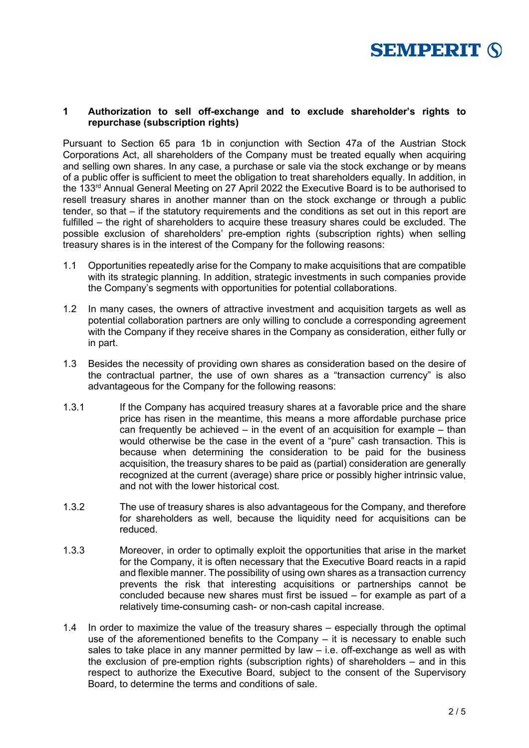

#### **1 Authorization to sell off-exchange and to exclude shareholder's rights to repurchase (subscription rights)**

Pursuant to Section 65 para 1b in conjunction with Section 47a of the Austrian Stock Corporations Act, all shareholders of the Company must be treated equally when acquiring and selling own shares. In any case, a purchase or sale via the stock exchange or by means of a public offer is sufficient to meet the obligation to treat shareholders equally. In addition, in the 133rd Annual General Meeting on 27 April 2022 the Executive Board is to be authorised to resell treasury shares in another manner than on the stock exchange or through a public tender, so that – if the statutory requirements and the conditions as set out in this report are fulfilled – the right of shareholders to acquire these treasury shares could be excluded. The possible exclusion of shareholders' pre-emption rights (subscription rights) when selling treasury shares is in the interest of the Company for the following reasons:

- 1.1 Opportunities repeatedly arise for the Company to make acquisitions that are compatible with its strategic planning. In addition, strategic investments in such companies provide the Company's segments with opportunities for potential collaborations.
- 1.2 In many cases, the owners of attractive investment and acquisition targets as well as potential collaboration partners are only willing to conclude a corresponding agreement with the Company if they receive shares in the Company as consideration, either fully or in part.
- 1.3 Besides the necessity of providing own shares as consideration based on the desire of the contractual partner, the use of own shares as a "transaction currency" is also advantageous for the Company for the following reasons:
- 1.3.1 If the Company has acquired treasury shares at a favorable price and the share price has risen in the meantime, this means a more affordable purchase price can frequently be achieved – in the event of an acquisition for example – than would otherwise be the case in the event of a "pure" cash transaction. This is because when determining the consideration to be paid for the business acquisition, the treasury shares to be paid as (partial) consideration are generally recognized at the current (average) share price or possibly higher intrinsic value, and not with the lower historical cost.
- 1.3.2 The use of treasury shares is also advantageous for the Company, and therefore for shareholders as well, because the liquidity need for acquisitions can be reduced.
- 1.3.3 Moreover, in order to optimally exploit the opportunities that arise in the market for the Company, it is often necessary that the Executive Board reacts in a rapid and flexible manner. The possibility of using own shares as a transaction currency prevents the risk that interesting acquisitions or partnerships cannot be concluded because new shares must first be issued – for example as part of a relatively time-consuming cash- or non-cash capital increase.
- 1.4 In order to maximize the value of the treasury shares especially through the optimal use of the aforementioned benefits to the Company – it is necessary to enable such sales to take place in any manner permitted by law – i.e. off-exchange as well as with the exclusion of pre-emption rights (subscription rights) of shareholders – and in this respect to authorize the Executive Board, subject to the consent of the Supervisory Board, to determine the terms and conditions of sale.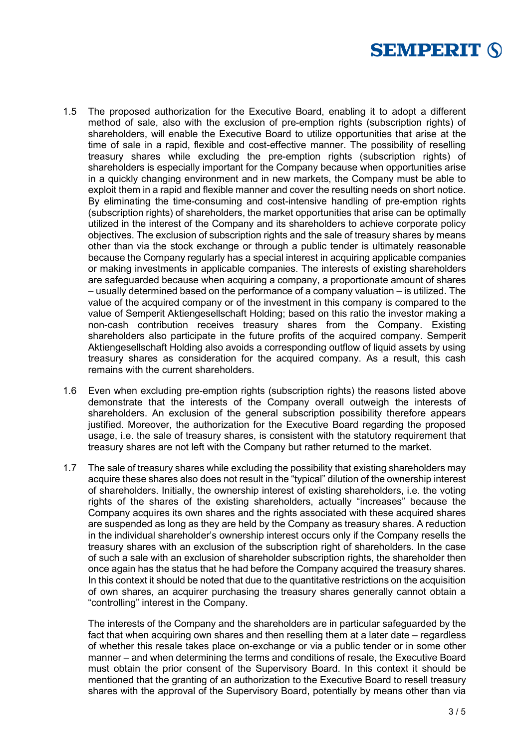

- 1.5 The proposed authorization for the Executive Board, enabling it to adopt a different method of sale, also with the exclusion of pre-emption rights (subscription rights) of shareholders, will enable the Executive Board to utilize opportunities that arise at the time of sale in a rapid, flexible and cost-effective manner. The possibility of reselling treasury shares while excluding the pre-emption rights (subscription rights) of shareholders is especially important for the Company because when opportunities arise in a quickly changing environment and in new markets, the Company must be able to exploit them in a rapid and flexible manner and cover the resulting needs on short notice. By eliminating the time-consuming and cost-intensive handling of pre-emption rights (subscription rights) of shareholders, the market opportunities that arise can be optimally utilized in the interest of the Company and its shareholders to achieve corporate policy objectives. The exclusion of subscription rights and the sale of treasury shares by means other than via the stock exchange or through a public tender is ultimately reasonable because the Company regularly has a special interest in acquiring applicable companies or making investments in applicable companies. The interests of existing shareholders are safeguarded because when acquiring a company, a proportionate amount of shares – usually determined based on the performance of a company valuation – is utilized. The value of the acquired company or of the investment in this company is compared to the value of Semperit Aktiengesellschaft Holding; based on this ratio the investor making a non-cash contribution receives treasury shares from the Company. Existing shareholders also participate in the future profits of the acquired company. Semperit Aktiengesellschaft Holding also avoids a corresponding outflow of liquid assets by using treasury shares as consideration for the acquired company. As a result, this cash remains with the current shareholders.
- 1.6 Even when excluding pre-emption rights (subscription rights) the reasons listed above demonstrate that the interests of the Company overall outweigh the interests of shareholders. An exclusion of the general subscription possibility therefore appears justified. Moreover, the authorization for the Executive Board regarding the proposed usage, i.e. the sale of treasury shares, is consistent with the statutory requirement that treasury shares are not left with the Company but rather returned to the market.
- 1.7 The sale of treasury shares while excluding the possibility that existing shareholders may acquire these shares also does not result in the "typical" dilution of the ownership interest of shareholders. Initially, the ownership interest of existing shareholders, i.e. the voting rights of the shares of the existing shareholders, actually "increases" because the Company acquires its own shares and the rights associated with these acquired shares are suspended as long as they are held by the Company as treasury shares. A reduction in the individual shareholder's ownership interest occurs only if the Company resells the treasury shares with an exclusion of the subscription right of shareholders. In the case of such a sale with an exclusion of shareholder subscription rights, the shareholder then once again has the status that he had before the Company acquired the treasury shares. In this context it should be noted that due to the quantitative restrictions on the acquisition of own shares, an acquirer purchasing the treasury shares generally cannot obtain a "controlling" interest in the Company.

The interests of the Company and the shareholders are in particular safeguarded by the fact that when acquiring own shares and then reselling them at a later date – regardless of whether this resale takes place on-exchange or via a public tender or in some other manner – and when determining the terms and conditions of resale, the Executive Board must obtain the prior consent of the Supervisory Board. In this context it should be mentioned that the granting of an authorization to the Executive Board to resell treasury shares with the approval of the Supervisory Board, potentially by means other than via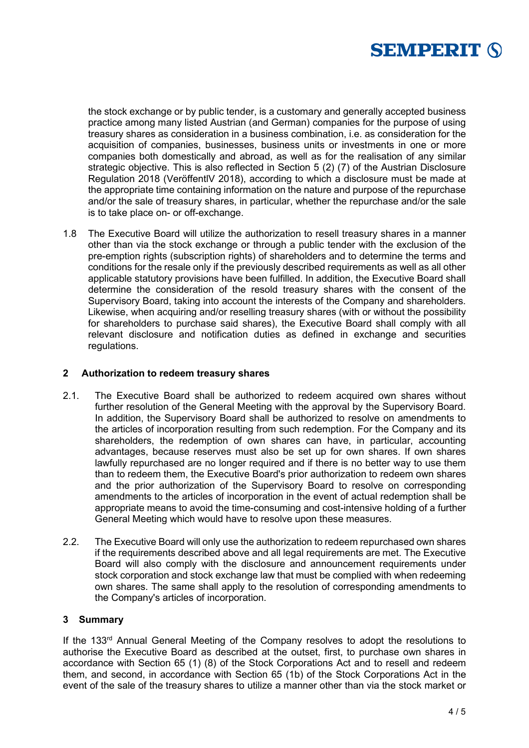

the stock exchange or by public tender, is a customary and generally accepted business practice among many listed Austrian (and German) companies for the purpose of using treasury shares as consideration in a business combination, i.e. as consideration for the acquisition of companies, businesses, business units or investments in one or more companies both domestically and abroad, as well as for the realisation of any similar strategic objective. This is also reflected in Section 5 (2) (7) of the Austrian Disclosure Regulation 2018 (VeröffentlV 2018), according to which a disclosure must be made at the appropriate time containing information on the nature and purpose of the repurchase and/or the sale of treasury shares, in particular, whether the repurchase and/or the sale is to take place on- or off-exchange.

1.8 The Executive Board will utilize the authorization to resell treasury shares in a manner other than via the stock exchange or through a public tender with the exclusion of the pre-emption rights (subscription rights) of shareholders and to determine the terms and conditions for the resale only if the previously described requirements as well as all other applicable statutory provisions have been fulfilled. In addition, the Executive Board shall determine the consideration of the resold treasury shares with the consent of the Supervisory Board, taking into account the interests of the Company and shareholders. Likewise, when acquiring and/or reselling treasury shares (with or without the possibility for shareholders to purchase said shares), the Executive Board shall comply with all relevant disclosure and notification duties as defined in exchange and securities regulations.

## **2 Authorization to redeem treasury shares**

- 2.1. The Executive Board shall be authorized to redeem acquired own shares without further resolution of the General Meeting with the approval by the Supervisory Board. In addition, the Supervisory Board shall be authorized to resolve on amendments to the articles of incorporation resulting from such redemption. For the Company and its shareholders, the redemption of own shares can have, in particular, accounting advantages, because reserves must also be set up for own shares. If own shares lawfully repurchased are no longer required and if there is no better way to use them than to redeem them, the Executive Board's prior authorization to redeem own shares and the prior authorization of the Supervisory Board to resolve on corresponding amendments to the articles of incorporation in the event of actual redemption shall be appropriate means to avoid the time-consuming and cost-intensive holding of a further General Meeting which would have to resolve upon these measures.
- 2.2. The Executive Board will only use the authorization to redeem repurchased own shares if the requirements described above and all legal requirements are met. The Executive Board will also comply with the disclosure and announcement requirements under stock corporation and stock exchange law that must be complied with when redeeming own shares. The same shall apply to the resolution of corresponding amendments to the Company's articles of incorporation.

#### **3 Summary**

If the 133<sup>rd</sup> Annual General Meeting of the Company resolves to adopt the resolutions to authorise the Executive Board as described at the outset, first, to purchase own shares in accordance with Section 65 (1) (8) of the Stock Corporations Act and to resell and redeem them, and second, in accordance with Section 65 (1b) of the Stock Corporations Act in the event of the sale of the treasury shares to utilize a manner other than via the stock market or